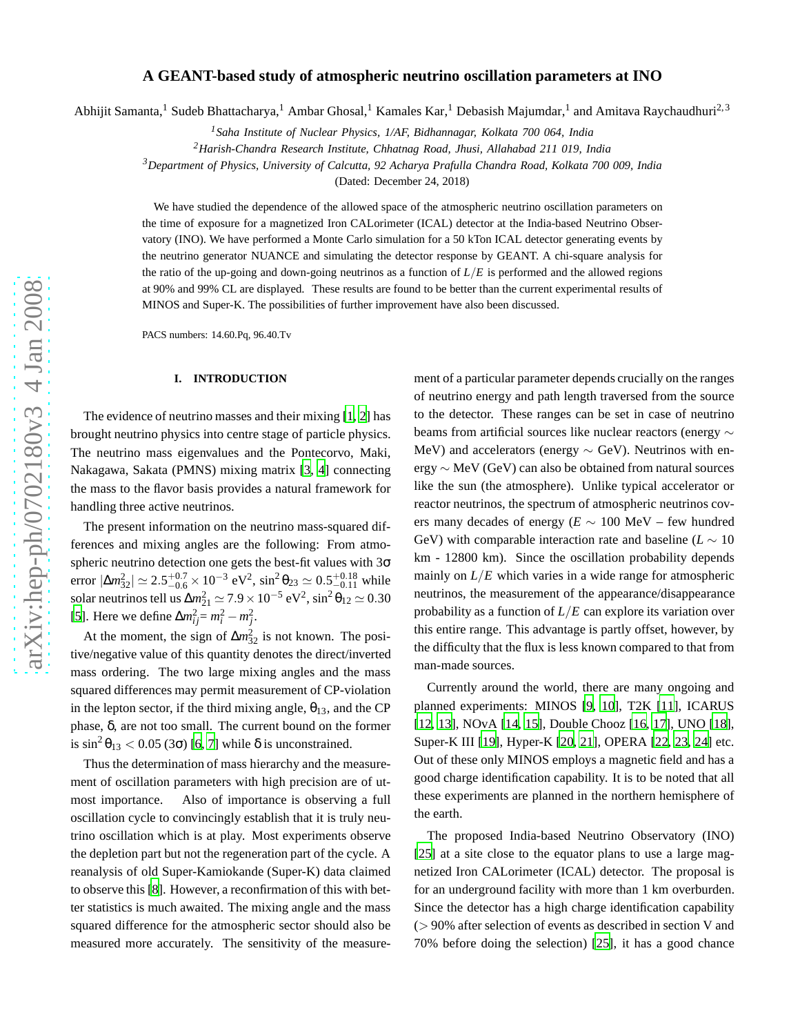# $arXiv:hep-ph/0702180v3$  4 Jan 2008 [arXiv:hep-ph/0702180v3 4 Jan 2008](http://arxiv.org/abs/hep-ph/0702180v3)

# **A GEANT-based study of atmospheric neutrino oscillation parameters at INO**

Abhijit Samanta,<sup>1</sup> Sudeb Bhattacharya,<sup>1</sup> Ambar Ghosal,<sup>1</sup> Kamales Kar,<sup>1</sup> Debasish Majumdar,<sup>1</sup> and Amitava Raychaudhuri<sup>2,3</sup>

*<sup>1</sup>Saha Institute of Nuclear Physics, 1/AF, Bidhannagar, Kolkata 700 064, India*

*<sup>2</sup>Harish-Chandra Research Institute, Chhatnag Road, Jhusi, Allahabad 211 019, India*

*<sup>3</sup>Department of Physics, University of Calcutta, 92 Acharya Prafulla Chandra Road, Kolkata 700 009, India*

(Dated: December 24, 2018)

We have studied the dependence of the allowed space of the atmospheric neutrino oscillation parameters on the time of exposure for a magnetized Iron CALorimeter (ICAL) detector at the India-based Neutrino Observatory (INO). We have performed a Monte Carlo simulation for a 50 kTon ICAL detector generating events by the neutrino generator NUANCE and simulating the detector response by GEANT. A chi-square analysis for the ratio of the up-going and down-going neutrinos as a function of *L* / *E* is performed and the allowed regions at 90% and 99% CL are displayed. These results are found to be better than the current experimental results of MINOS and Super-K. The possibilities of further improvement have also been discussed.

PACS numbers: 14.60.Pq, 96.40.Tv

### **I. INTRODUCTION**

The evidence of neutrino masses and their mixing [\[1,](#page-6-0) [2](#page-6-1)] has brought neutrino physics into centre stage of particle physics. The neutrino mass eigenvalues and the Pontecorvo, Maki, Nakagawa, Sakata (PMNS) mixing matrix [\[3,](#page-7-0) [4\]](#page-7-1) connecting the mass to the flavor basis provides a natural framework for handling three active neutrinos.

The present information on the neutrino mass-squared differences and mixing angles are the following: From atmospheric neutrino detection one gets the best-fit values with  $3\sigma$ error  $|\Delta m_{32}^2| \simeq 2.5^{+0.7}_{-0.6} \times 10^{-3}$  eV<sup>2</sup>, sin<sup>2</sup>  $\theta_{23} \simeq 0.5^{+0.18}_{-0.11}$  while solar neutrinos tell us  $\Delta m_{21}^2 \simeq 7.9 \times 10^{-5} \text{ eV}^2$ ,  $\sin^2 \theta_{12} \simeq 0.30$ [\[5](#page-7-2)]. Here we define  $\Delta m_{ij}^2 = m_i^2 - m_j^2$ .

At the moment, the sign of  $\Delta m_{32}^2$  is not known. The positive/negative value of this quantity denotes the direct/inverted mass ordering. The two large mixing angles and the mass squared differences may permit measurement of CP-violatio n in the lepton sector, if the third mixing angle,  $\theta_{13}$ , and the CP phase, δ, are not too small. The current bound on the former is  $\sin^2 \theta_{13} < 0.05$  (3 $\sigma$ ) [\[6](#page-7-3), [7](#page-7-4)] while  $\delta$  is unconstrained.

Thus the determination of mass hierarchy and the measurement of oscillation parameters with high precision are of utmost importance. Also of importance is observing a full oscillation cycle to convincingly establish that it is truly neutrino oscillation which is at play. Most experiments observe the depletion part but not the regeneration part of the cycle. A reanalysis of old Super-Kamiokande (Super-K) data claimed to observe this [\[8](#page-7-5)]. However, a reconfirmation of this with better statistics is much awaited. The mixing angle and the mass squared difference for the atmospheric sector should also b e measured more accurately. The sensitivity of the measurement of a particular parameter depends crucially on the ranges of neutrino energy and path length traversed from the source to the detector. These ranges can be set in case of neutrino beams from artificial sources like nuclear reactors (energy  $\sim$ MeV) and accelerators (energy  $\sim$  GeV). Neutrinos with energy ∼ MeV (GeV) can also be obtained from natural sources like the sun (the atmosphere). Unlike typical accelerator or reactor neutrinos, the spectrum of atmospheric neutrinos covers many decades of energy ( $E \sim 100 \text{ MeV}$  – few hundred GeV) with comparable interaction rate and baseline  $(L \sim 10)$ km - 12800 km). Since the oscillation probability depends mainly on  $L/E$  which varies in a wide range for atmospheric neutrinos, the measurement of the appearance/disappearance probability as a function of *L* / *E* can explore its variation over this entire range. This advantage is partly offset, however, by the difficulty that the flux is less known compared to that from man-made sources.

Currently around the world, there are many ongoing and planned experiments: MINOS [\[9,](#page-7-6) [10\]](#page-7-7), T2K [\[11](#page-7-8)], ICARUS [\[12](#page-7-9), [13\]](#page-7-10), NOvA [\[14,](#page-7-11) [15](#page-7-12)], Double Chooz [\[16,](#page-7-13) [17\]](#page-7-14), UNO [\[18](#page-7-15)], Super-K III [\[19](#page-7-16)], Hyper-K [\[20](#page-7-17), [21](#page-7-18)], OPERA [\[22,](#page-7-19) [23,](#page-7-20) 24] etc. Out of these only MINOS employs a magnetic field and has a good charge identification capability. It is to be noted that all these experiments are planned in the northern hemisphere of the earth.

The proposed India-based Neutrino Observatory (INO) [\[25](#page-7-21)] at a site close to the equator plans to use a large magnetized Iron CALorimeter (ICAL) detector. The proposal is for an underground facility with more than 1 km overburden. Since the detector has a high charge identification capability (> 90% after selection of events as described in section V and 70% before doing the selection) [\[25\]](#page-7-21), it has a good chance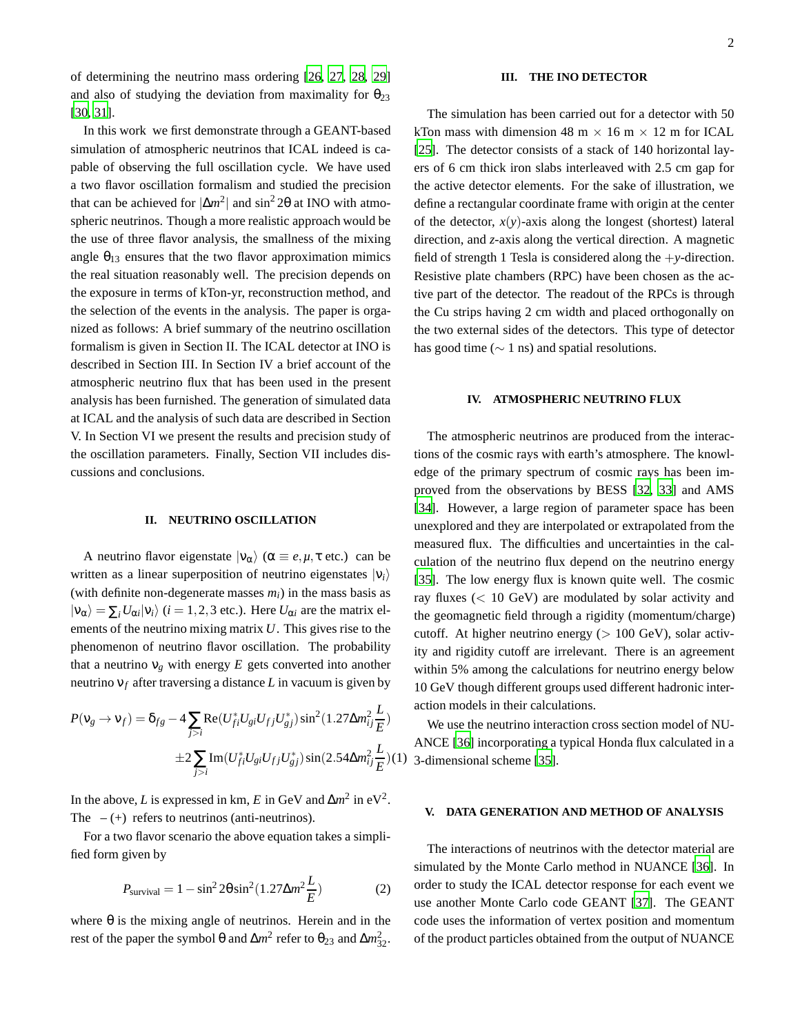of determining the neutrino mass ordering [\[26,](#page-7-22) [27,](#page-7-23) [28](#page-7-24), [29\]](#page-7-25) and also of studying the deviation from maximality for  $\theta_{23}$ [\[30](#page-7-26), [31](#page-7-27)].

In this work we first demonstrate through a GEANT-based simulation of atmospheric neutrinos that ICAL indeed is capable of observing the full oscillation cycle. We have used a two flavor oscillation formalism and studied the precision that can be achieved for  $|\Delta m^2|$  and sin<sup>2</sup> 20 at INO with atmospheric neutrinos. Though a more realistic approach would be the use of three flavor analysis, the smallness of the mixing angle  $\theta_{13}$  ensures that the two flavor approximation mimics the real situation reasonably well. The precision depends on the exposure in terms of kTon-yr, reconstruction method, and the selection of the events in the analysis. The paper is organized as follows: A brief summary of the neutrino oscillation formalism is given in Section II. The ICAL detector at INO is described in Section III. In Section IV a brief account of the atmospheric neutrino flux that has been used in the present analysis has been furnished. The generation of simulated data at ICAL and the analysis of such data are described in Section V. In Section VI we present the results and precision study of the oscillation parameters. Finally, Section VII includes discussions and conclusions.

### **II. NEUTRINO OSCILLATION**

A neutrino flavor eigenstate  $|v_{\alpha}\rangle$  ( $\alpha \equiv e, \mu, \tau$  etc.) can be written as a linear superposition of neutrino eigenstates  $|v_i\rangle$ (with definite non-degenerate masses  $m_i$ ) in the mass basis as  $|v_{\alpha}\rangle = \sum_{i} U_{\alpha i} |v_{i}\rangle$  (*i* = 1, 2, 3 etc.). Here  $U_{\alpha i}$  are the matrix elements of the neutrino mixing matrix *U*. This gives rise to the phenomenon of neutrino flavor oscillation. The probability that a neutrino  $v_g$  with energy *E* gets converted into another neutrino ν*<sup>f</sup>* after traversing a distance *L* in vacuum is given by

$$
P(\mathbf{v}_g \to \mathbf{v}_f) = \delta_{fg} - 4 \sum_{j>i} \text{Re}(U_{fi}^* U_{gi} U_{fj} U_{gj}^*) \sin^2(1.27 \Delta m_{ij}^2 \frac{L}{E})
$$
  

$$
\pm 2 \sum_{j>i} \text{Im}(U_{fi}^* U_{gi} U_{fj} U_{gj}^*) \sin(2.54 \Delta m_{ij}^2 \frac{L}{E})(1)
$$

In the above, *L* is expressed in km, *E* in GeV and  $\Delta m^2$  in eV<sup>2</sup>. The  $- (+)$  refers to neutrinos (anti-neutrinos).

For a two flavor scenario the above equation takes a simplified form given by

$$
P_{\text{survival}} = 1 - \sin^2 2\theta \sin^2 (1.27 \Delta m^2 \frac{L}{E})
$$
 (2)

where  $\theta$  is the mixing angle of neutrinos. Herein and in the rest of the paper the symbol  $\theta$  and  $\Delta m^2$  refer to  $\theta_{23}$  and  $\Delta m_{32}^2$ .

# **III. THE INO DETECTOR**

The simulation has been carried out for a detector with 50 kTon mass with dimension 48 m  $\times$  16 m  $\times$  12 m for ICAL [\[25](#page-7-21)]. The detector consists of a stack of 140 horizontal layers of 6 cm thick iron slabs interleaved with 2.5 cm gap for the active detector elements. For the sake of illustration, we define a rectangular coordinate frame with origin at the center of the detector,  $x(y)$ -axis along the longest (shortest) lateral direction, and *z*-axis along the vertical direction. A magnetic field of strength 1 Tesla is considered along the +*y*-direction. Resistive plate chambers (RPC) have been chosen as the active part of the detector. The readout of the RPCs is through the Cu strips having 2 cm width and placed orthogonally on the two external sides of the detectors. This type of detector has good time ( $\sim$  1 ns) and spatial resolutions.

### **IV. ATMOSPHERIC NEUTRINO FLUX**

The atmospheric neutrinos are produced from the interactions of the cosmic rays with earth's atmosphere. The knowledge of the primary spectrum of cosmic rays has been improved from the observations by BESS [\[32,](#page-7-28) [33\]](#page-7-29) and AMS [\[34](#page-7-30)]. However, a large region of parameter space has been unexplored and they are interpolated or extrapolated from the measured flux. The difficulties and uncertainties in the calculation of the neutrino flux depend on the neutrino energy [\[35](#page-7-31)]. The low energy flux is known quite well. The cosmic ray fluxes (< 10 GeV) are modulated by solar activity and the geomagnetic field through a rigidity (momentum/charge) cutoff. At higher neutrino energy ( $> 100$  GeV), solar activity and rigidity cutoff are irrelevant. There is an agreement within 5% among the calculations for neutrino energy below 10 GeV though different groups used different hadronic interaction models in their calculations.

)(1) 3-dimensional scheme [\[35](#page-7-31)]. We use the neutrino interaction cross section model of NU-ANCE [\[36\]](#page-7-32) incorporating a typical Honda flux calculated in a

### **V. DATA GENERATION AND METHOD OF ANALYSIS**

The interactions of neutrinos with the detector material are simulated by the Monte Carlo method in NUANCE [\[36\]](#page-7-32). In order to study the ICAL detector response for each event we use another Monte Carlo code GEANT [\[37\]](#page-7-33). The GEANT code uses the information of vertex position and momentum of the product particles obtained from the output of NUANCE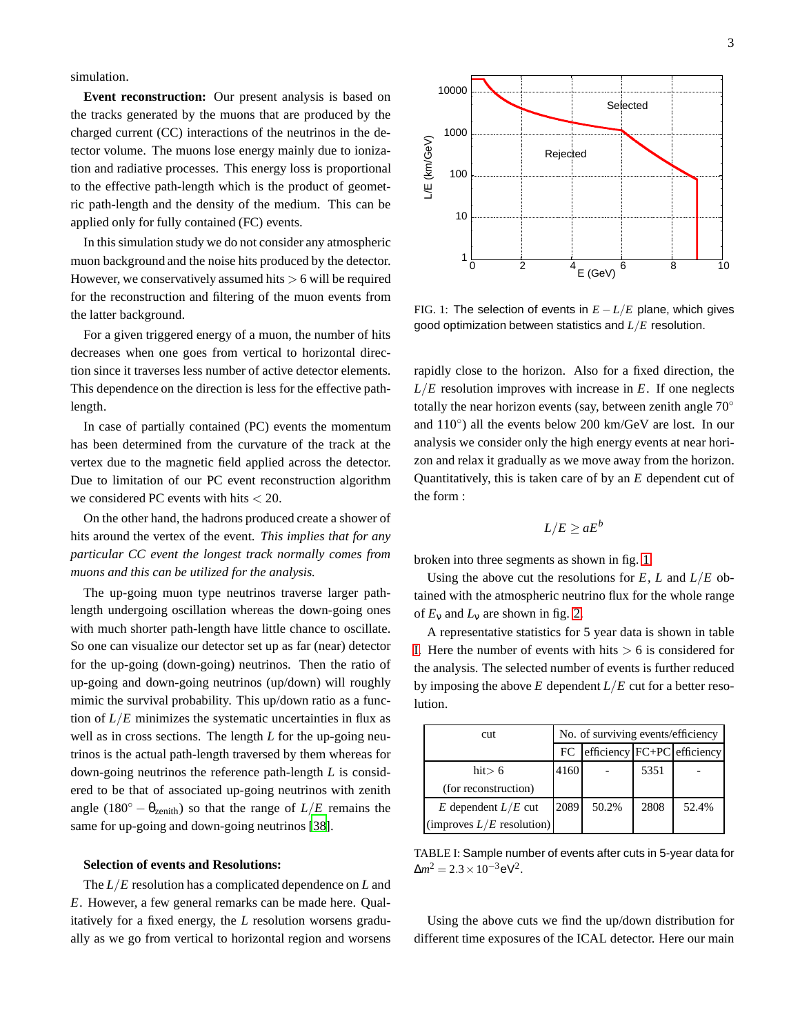simulation.

**Event reconstruction:** Our present analysis is based on the tracks generated by the muons that are produced by the charged current (CC) interactions of the neutrinos in the detector volume. The muons lose energy mainly due to ionization and radiative processes. This energy loss is proportional to the effective path-length which is the product of geometric path-length and the density of the medium. This can be applied only for fully contained (FC) events.

In this simulation study we do not consider any atmospheric muon background and the noise hits produced by the detector. However, we conservatively assumed hits  $> 6$  will be required for the reconstruction and filtering of the muon events from the latter background.

For a given triggered energy of a muon, the number of hits decreases when one goes from vertical to horizontal direction since it traverses less number of active detector elements. This dependence on the direction is less for the effective pathlength.

In case of partially contained (PC) events the momentum has been determined from the curvature of the track at the vertex due to the magnetic field applied across the detector. Due to limitation of our PC event reconstruction algorithm we considered PC events with hits < 20.

On the other hand, the hadrons produced create a shower of hits around the vertex of the event. *This implies that for any particular CC event the longest track normally comes from muons and this can be utilized for the analysis.*

The up-going muon type neutrinos traverse larger pathlength undergoing oscillation whereas the down-going ones with much shorter path-length have little chance to oscillate. So one can visualize our detector set up as far (near) detector for the up-going (down-going) neutrinos. Then the ratio of up-going and down-going neutrinos (up/down) will roughly mimic the survival probability. This up/down ratio as a function of  $L/E$  minimizes the systematic uncertainties in flux as well as in cross sections. The length *L* for the up-going neutrinos is the actual path-length traversed by them whereas for down-going neutrinos the reference path-length *L* is considered to be that of associated up-going neutrinos with zenith angle (180<sup>°</sup> –  $\theta_{zenith}$ ) so that the range of  $L/E$  remains the same for up-going and down-going neutrinos [\[38\]](#page-7-34).

## **Selection of events and Resolutions:**

The *L*/*E* resolution has a complicated dependence on *L* and *E*. However, a few general remarks can be made here. Qualitatively for a fixed energy, the *L* resolution worsens gradually as we go from vertical to horizontal region and worsens



<span id="page-2-0"></span>FIG. 1: The selection of events in *E* − *L*/*E* plane, which gives good optimization between statistics and *L*/*E* resolution.

rapidly close to the horizon. Also for a fixed direction, the  $L/E$  resolution improves with increase in  $E$ . If one neglects totally the near horizon events (say, between zenith angle  $70^{\circ}$ and  $110^{\circ}$ ) all the events below 200 km/GeV are lost. In our analysis we consider only the high energy events at near horizon and relax it gradually as we move away from the horizon. Quantitatively, this is taken care of by an *E* dependent cut of the form :

$$
L/E \ge aE^b
$$

broken into three segments as shown in fig. [1.](#page-2-0)

Using the above cut the resolutions for  $E$ ,  $L$  and  $L/E$  obtained with the atmospheric neutrino flux for the whole range of  $E_v$  and  $L_v$  are shown in fig. [2.](#page-3-0)

A representative statistics for 5 year data is shown in table [I.](#page-2-1) Here the number of events with hits  $> 6$  is considered for the analysis. The selected number of events is further reduced by imposing the above *E* dependent *L*/*E* cut for a better resolution.

| cut                         | No. of surviving events/efficiency |                               |      |       |
|-----------------------------|------------------------------------|-------------------------------|------|-------|
|                             | FC                                 | efficiency $FC+PC$ efficiency |      |       |
| hit $> 6$                   | 4160                               |                               | 5351 |       |
| (for reconstruction)        |                                    |                               |      |       |
| E dependent $L/E$ cut       | 2089                               | 50.2%                         | 2808 | 52.4% |
| (improves $L/E$ resolution) |                                    |                               |      |       |

<span id="page-2-1"></span>TABLE I: Sample number of events after cuts in 5-year data for  $\Delta m^2 = 2.3 \times 10^{-3} \text{eV}^2$ .

Using the above cuts we find the up/down distribution for different time exposures of the ICAL detector. Here our main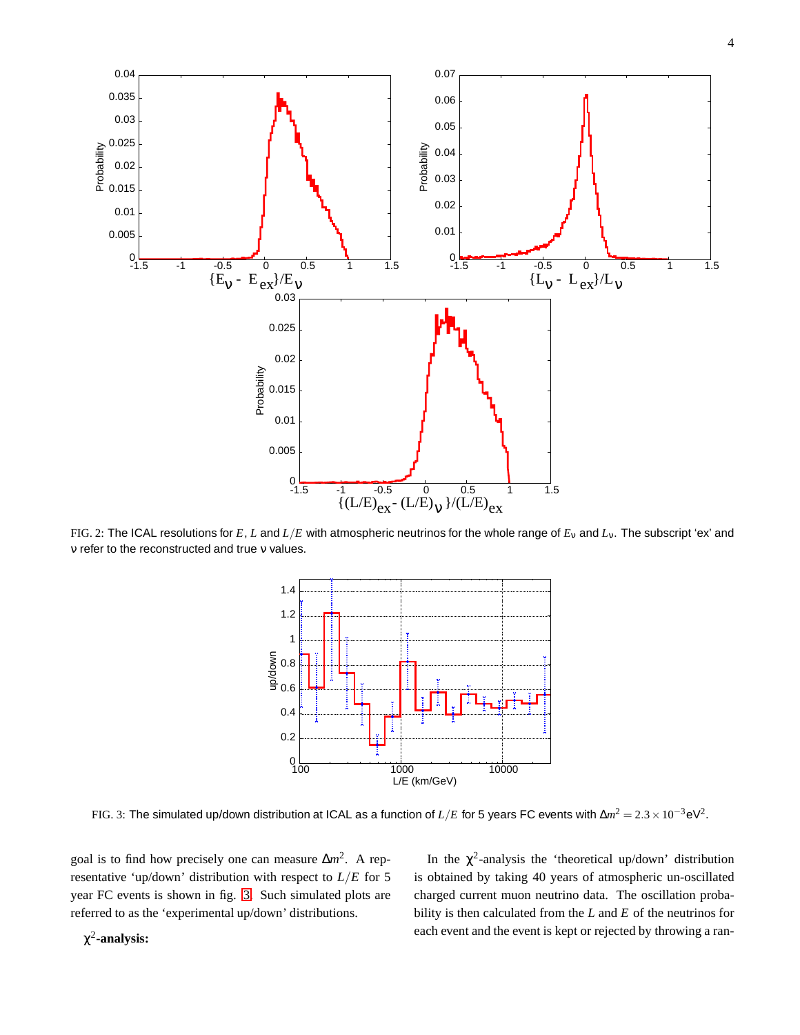

<span id="page-3-0"></span>FIG. 2: The ICAL resolutions for *E*, *L* and *L*/*E* with atmospheric neutrinos for the whole range of *E*<sup>ν</sup> and *L*ν. The subscript 'ex' and ν refer to the reconstructed and true ν values.



<span id="page-3-1"></span>FIG. 3: The simulated up/down distribution at ICAL as a function of *L*/*E* for 5 years FC events with ∆*m* <sup>2</sup> = 2.3×10−3eV<sup>2</sup> .

goal is to find how precisely one can measure ∆*m* 2 . A representative 'up/down' distribution with respect to *L*/*E* for 5 year FC events is shown in fig. [3.](#page-3-1) Such simulated plots are referred to as the 'experimental up/down' distributions.

In the  $\chi^2$ -analysis the 'theoretical up/down' distribution is obtained by taking 40 years of atmospheric un-oscillated charged current muon neutrino data. The oscillation probability is then calculated from the *L* and *E* of the neutrinos for each event and the event is kept or rejected by throwing a ran-

χ 2 **-analysis:**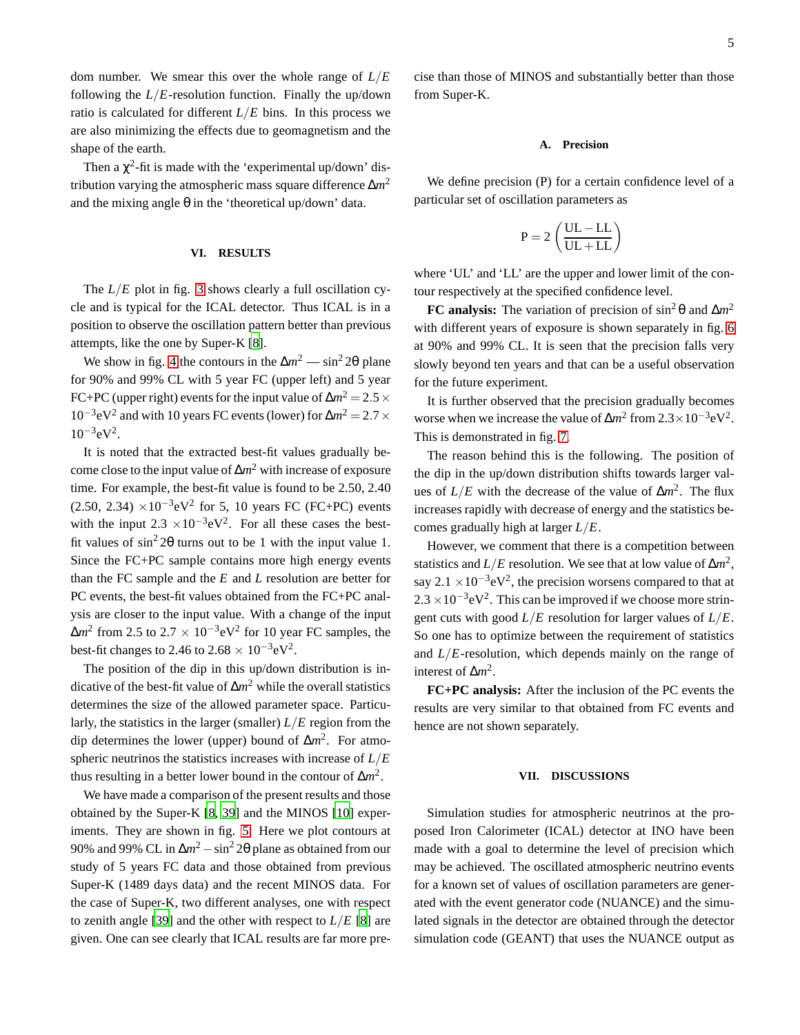dom number. We smear this over the whole range of *L*/*E* following the *L*/*E*-resolution function. Finally the up/down ratio is calculated for different  $L/E$  bins. In this process we are also minimizing the effects due to geomagnetism and the shape of the earth.

Then a  $\chi^2$ -fit is made with the 'experimental up/down' distribution varying the atmospheric mass square difference ∆*m* 2 and the mixing angle  $\theta$  in the 'theoretical up/down' data.

# **VI. RESULTS**

The  $L/E$  plot in fig. [3](#page-3-1) shows clearly a full oscillation cycle and is typical for the ICAL detector. Thus ICAL is in a position to observe the oscillation pattern better than previous attempts, like the one by Super-K [\[8](#page-7-5)].

We show in fig. [4](#page-5-0) the contours in the  $\Delta m^2 = \sin^2 2\theta$  plane for 90% and 99% CL with 5 year FC (upper left) and 5 year FC+PC (upper right) events for the input value of  $\Delta m^2 = 2.5 \times$ 10<sup>-3</sup>eV<sup>2</sup> and with 10 years FC events (lower) for Δ*m*<sup>2</sup> = 2.7 ×  $10^{-3}$ eV<sup>2</sup>.

It is noted that the extracted best-fit values gradually become close to the input value of ∆*m* <sup>2</sup> with increase of exposure time. For example, the best-fit value is found to be 2.50, 2.40 (2.50, 2.34) ×10<sup>-3</sup>eV<sup>2</sup> for 5, 10 years FC (FC+PC) events with the input  $2.3 \times 10^{-3}$ eV<sup>2</sup>. For all these cases the bestfit values of  $\sin^2 2\theta$  turns out to be 1 with the input value 1. Since the FC+PC sample contains more high energy events than the FC sample and the *E* and *L* resolution are better for PC events, the best-fit values obtained from the FC+PC analysis are closer to the input value. With a change of the input  $\Delta m^2$  from 2.5 to 2.7 × 10<sup>-3</sup>eV<sup>2</sup> for 10 year FC samples, the best-fit changes to 2.46 to 2.68  $\times$   $10^{-3}$ eV<sup>2</sup>.

The position of the dip in this up/down distribution is indicative of the best-fit value of ∆*m* <sup>2</sup> while the overall statistics determines the size of the allowed parameter space. Particularly, the statistics in the larger (smaller) *L*/*E* region from the dip determines the lower (upper) bound of ∆*m* 2 . For atmospheric neutrinos the statistics increases with increase of *L*/*E* thus resulting in a better lower bound in the contour of  $\Delta m^2$ .

We have made a comparison of the present results and those obtained by the Super-K [\[8,](#page-7-5) [39](#page-7-35)] and the MINOS [\[10\]](#page-7-7) experiments. They are shown in fig. [5.](#page-5-1) Here we plot contours at 90% and 99% CL in  $\Delta m^2 - \sin^2 2\theta$  plane as obtained from our study of 5 years FC data and those obtained from previous Super-K (1489 days data) and the recent MINOS data. For the case of Super-K, two different analyses, one with respect to zenith angle [\[39](#page-7-35)] and the other with respect to *L*/*E* [\[8\]](#page-7-5) are given. One can see clearly that ICAL results are far more precise than those of MINOS and substantially better than those from Super-K.

# **A. Precision**

We define precision (P) for a certain confidence level of a particular set of oscillation parameters as

$$
P = 2\left(\frac{UL - LL}{UL + LL}\right)
$$

where 'UL' and 'LL' are the upper and lower limit of the contour respectively at the specified confidence level.

**FC analysis:** The variation of precision of sin<sup>2</sup> $\theta$  and  $\Delta m^2$ with different years of exposure is shown separately in fig. [6](#page-6-2) at 90% and 99% CL. It is seen that the precision falls very slowly beyond ten years and that can be a useful observation for the future experiment.

It is further observed that the precision gradually becomes worse when we increase the value of  $\Delta m^2$  from  $2.3 \times 10^{-3}$ eV<sup>2</sup>. This is demonstrated in fig. [7.](#page-6-3)

The reason behind this is the following. The position of the dip in the up/down distribution shifts towards larger values of  $L/E$  with the decrease of the value of  $\Delta m^2$ . The flux increases rapidly with decrease of energy and the statistics becomes gradually high at larger *L*/*E*.

However, we comment that there is a competition between statistics and  $L/E$  resolution. We see that at low value of  $\Delta m^2$ , say 2.1 ×10<sup>-3</sup>eV<sup>2</sup>, the precision worsens compared to that at  $2.3 \times 10^{-3}$ eV<sup>2</sup>. This can be improved if we choose more stringent cuts with good *L*/*E* resolution for larger values of *L*/*E*. So one has to optimize between the requirement of statistics and *L*/*E*-resolution, which depends mainly on the range of interest of  $\Delta m^2$ .

**FC+PC analysis:** After the inclusion of the PC events the results are very similar to that obtained from FC events and hence are not shown separately.

# **VII. DISCUSSIONS**

Simulation studies for atmospheric neutrinos at the proposed Iron Calorimeter (ICAL) detector at INO have been made with a goal to determine the level of precision which may be achieved. The oscillated atmospheric neutrino events for a known set of values of oscillation parameters are generated with the event generator code (NUANCE) and the simulated signals in the detector are obtained through the detector simulation code (GEANT) that uses the NUANCE output as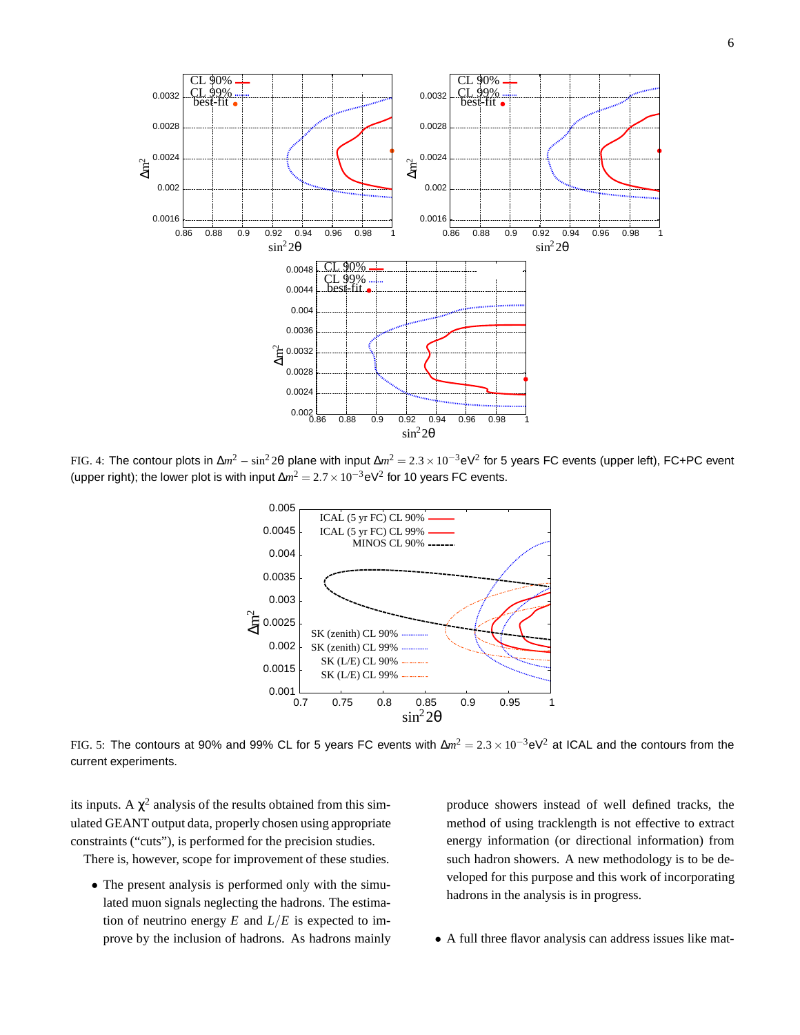

<span id="page-5-0"></span>FIG. 4: The contour plots in ∆*m* <sup>2</sup> – sin<sup>2</sup> 2θ plane with input ∆*m* <sup>2</sup> = 2.3×10−3eV<sup>2</sup> for 5 years FC events (upper left), FC+PC event (upper right); the lower plot is with input  $\Delta m^2 = 2.7 \times 10^{-3}$ eV<sup>2</sup> for 10 years FC events.



<span id="page-5-1"></span>FIG. 5: The contours at 90% and 99% CL for 5 years FC events with ∆*m* <sup>2</sup> = 2.3 × 10−3eV<sup>2</sup> at ICAL and the contours from the current experiments.

its inputs. A  $\chi^2$  analysis of the results obtained from this simulated GEANT output data, properly chosen using appropriate constraints ("cuts"), is performed for the precision studies.

There is, however, scope for improvement of these studies.

• The present analysis is performed only with the simulated muon signals neglecting the hadrons. The estimation of neutrino energy  $E$  and  $L/E$  is expected to improve by the inclusion of hadrons. As hadrons mainly

produce showers instead of well defined tracks, the method of using tracklength is not effective to extract energy information (or directional information) from such hadron showers. A new methodology is to be developed for this purpose and this work of incorporating hadrons in the analysis is in progress.

• A full three flavor analysis can address issues like mat-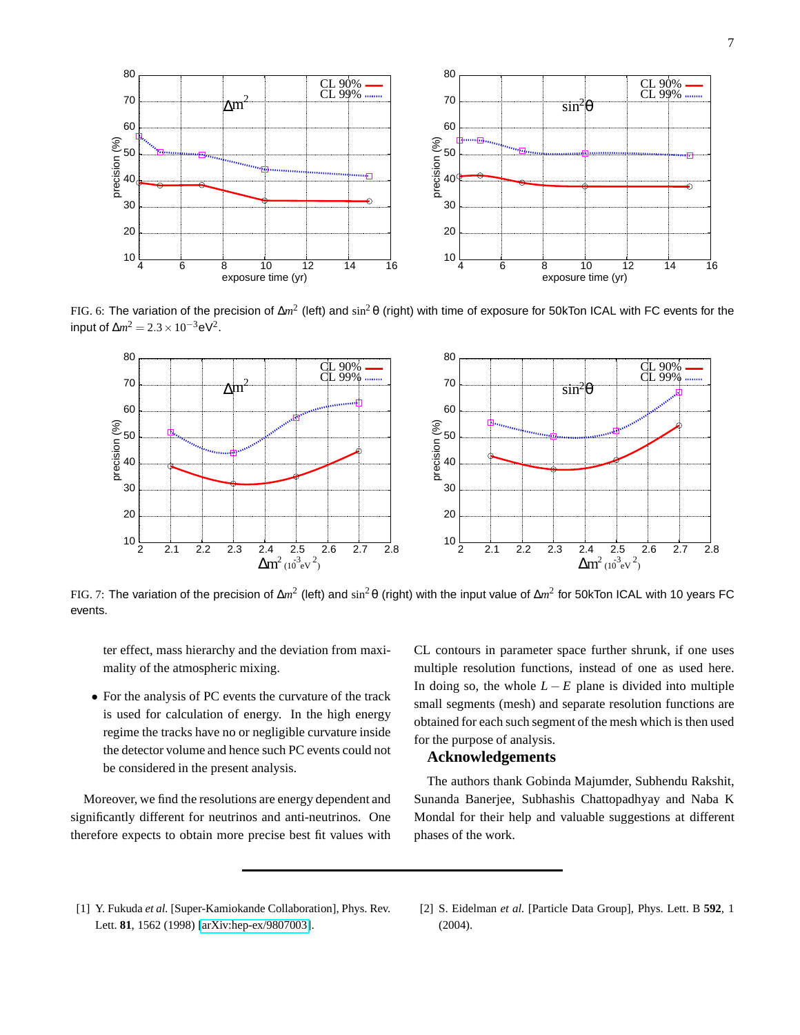

FIG. 6: The variation of the precision of ∆*m*<sup>2</sup> (left) and sin<sup>2</sup> θ (right) with time of exposure for 50kTon ICAL with FC events for the input of  $\Delta m^2 = 2.3 \times 10^{-3} \text{eV}^2$ .

<span id="page-6-2"></span>

<span id="page-6-3"></span>FIG. 7: The variation of the precision of ∆*m*<sup>2</sup> (left) and sin<sup>2</sup> θ (right) with the input value of ∆*m*<sup>2</sup> for 50kTon ICAL with 10 years FC events.

ter effect, mass hierarchy and the deviation from maximality of the atmospheric mixing.

• For the analysis of PC events the curvature of the track is used for calculation of energy. In the high energy regime the tracks have no or negligible curvature inside the detector volume and hence such PC events could not be considered in the present analysis.

Moreover, we find the resolutions are energy dependent and significantly different for neutrinos and anti-neutrinos. One therefore expects to obtain more precise best fit values with CL contours in parameter space further shrunk, if one uses multiple resolution functions, instead of one as used here. In doing so, the whole  $L - E$  plane is divided into multiple small segments (mesh) and separate resolution functions are obtained for each such segment of the mesh which is then used for the purpose of analysis.

# **Acknowledgements**

The authors thank Gobinda Majumder, Subhendu Rakshit, Sunanda Banerjee, Subhashis Chattopadhyay and Naba K Mondal for their help and valuable suggestions at different phases of the work.

<span id="page-6-0"></span><sup>[1]</sup> Y. Fukuda *et al.* [Super-Kamiokande Collaboration], Phys. Rev. Lett. **81**, 1562 (1998) [\[arXiv:hep-ex/9807003\]](http://arxiv.org/abs/hep-ex/9807003).

<span id="page-6-1"></span><sup>[2]</sup> S. Eidelman *et al.* [Particle Data Group], Phys. Lett. B **592**, 1 (2004).